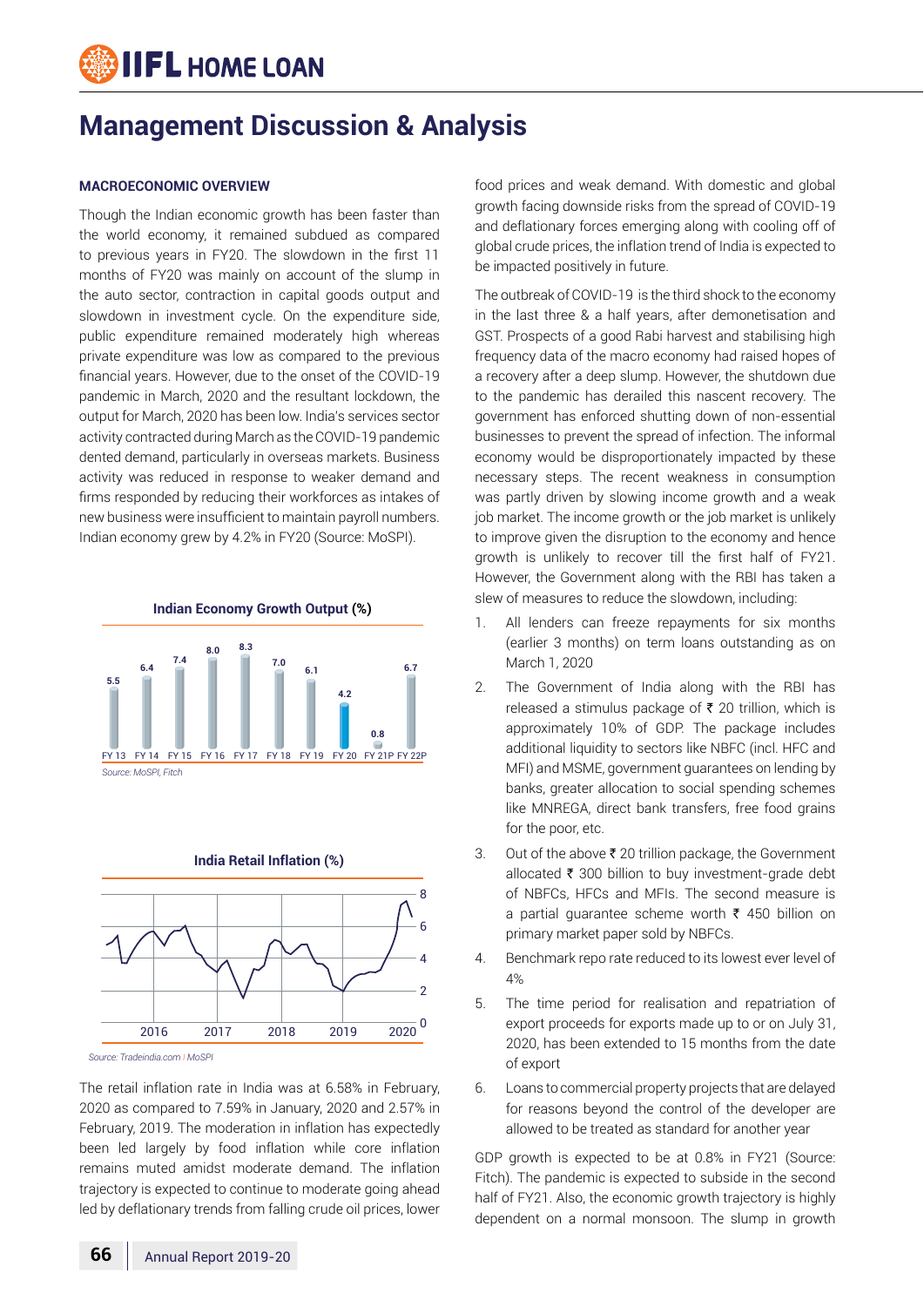# **IIFL HOME LOAN**

# **Management Discussion & Analysis**

#### **MACROECONOMIC OVERVIEW**

Though the Indian economic growth has been faster than the world economy, it remained subdued as compared to previous years in FY20. The slowdown in the first 11 months of FY20 was mainly on account of the slump in the auto sector, contraction in capital goods output and slowdown in investment cycle. On the expenditure side, public expenditure remained moderately high whereas private expenditure was low as compared to the previous financial years. However, due to the onset of the COVID-19 pandemic in March, 2020 and the resultant lockdown, the output for March, 2020 has been low. India's services sector activity contracted during March as the COVID-19 pandemic dented demand, particularly in overseas markets. Business activity was reduced in response to weaker demand and firms responded by reducing their workforces as intakes of new business were insufficient to maintain payroll numbers. Indian economy grew by 4.2% in FY20 (Source: MoSPI).





*Source: Tradeindia.com I MoSPI*

The retail inflation rate in India was at 6.58% in February, 2020 as compared to 7.59% in January, 2020 and 2.57% in February, 2019. The moderation in inflation has expectedly been led largely by food inflation while core inflation remains muted amidst moderate demand. The inflation trajectory is expected to continue to moderate going ahead led by deflationary trends from falling crude oil prices, lower

food prices and weak demand. With domestic and global growth facing downside risks from the spread of COVID-19 and deflationary forces emerging along with cooling off of global crude prices, the inflation trend of India is expected to be impacted positively in future.

The outbreak of COVID-19 is the third shock to the economy in the last three & a half years, after demonetisation and GST. Prospects of a good Rabi harvest and stabilising high frequency data of the macro economy had raised hopes of a recovery after a deep slump. However, the shutdown due to the pandemic has derailed this nascent recovery. The government has enforced shutting down of non-essential businesses to prevent the spread of infection. The informal economy would be disproportionately impacted by these necessary steps. The recent weakness in consumption was partly driven by slowing income growth and a weak job market. The income growth or the job market is unlikely to improve given the disruption to the economy and hence growth is unlikely to recover till the first half of FY21. However, the Government along with the RBI has taken a slew of measures to reduce the slowdown, including:

- 1. All lenders can freeze repayments for six months (earlier 3 months) on term loans outstanding as on March 1, 2020
- 2. The Government of India along with the RBI has released a stimulus package of  $\bar{\tau}$  20 trillion, which is approximately 10% of GDP. The package includes additional liquidity to sectors like NBFC (incl. HFC and MFI) and MSME, government guarantees on lending by banks, greater allocation to social spending schemes like MNREGA, direct bank transfers, free food grains for the poor, etc.
- 3. Out of the above  $\bar{\tau}$  20 trillion package, the Government allocated  $\bar{\tau}$  300 billion to buy investment-grade debt of NBFCs, HFCs and MFIs. The second measure is a partial quarantee scheme worth  $\bar{\tau}$  450 billion on primary market paper sold by NBFCs.
- 4. Benchmark repo rate reduced to its lowest ever level of 4%
- 5. The time period for realisation and repatriation of export proceeds for exports made up to or on July 31, 2020, has been extended to 15 months from the date of export
- 6. Loans to commercial property projects that are delayed for reasons beyond the control of the developer are allowed to be treated as standard for another year

GDP growth is expected to be at 0.8% in FY21 (Source: Fitch). The pandemic is expected to subside in the second half of FY21. Also, the economic growth trajectory is highly dependent on a normal monsoon. The slump in growth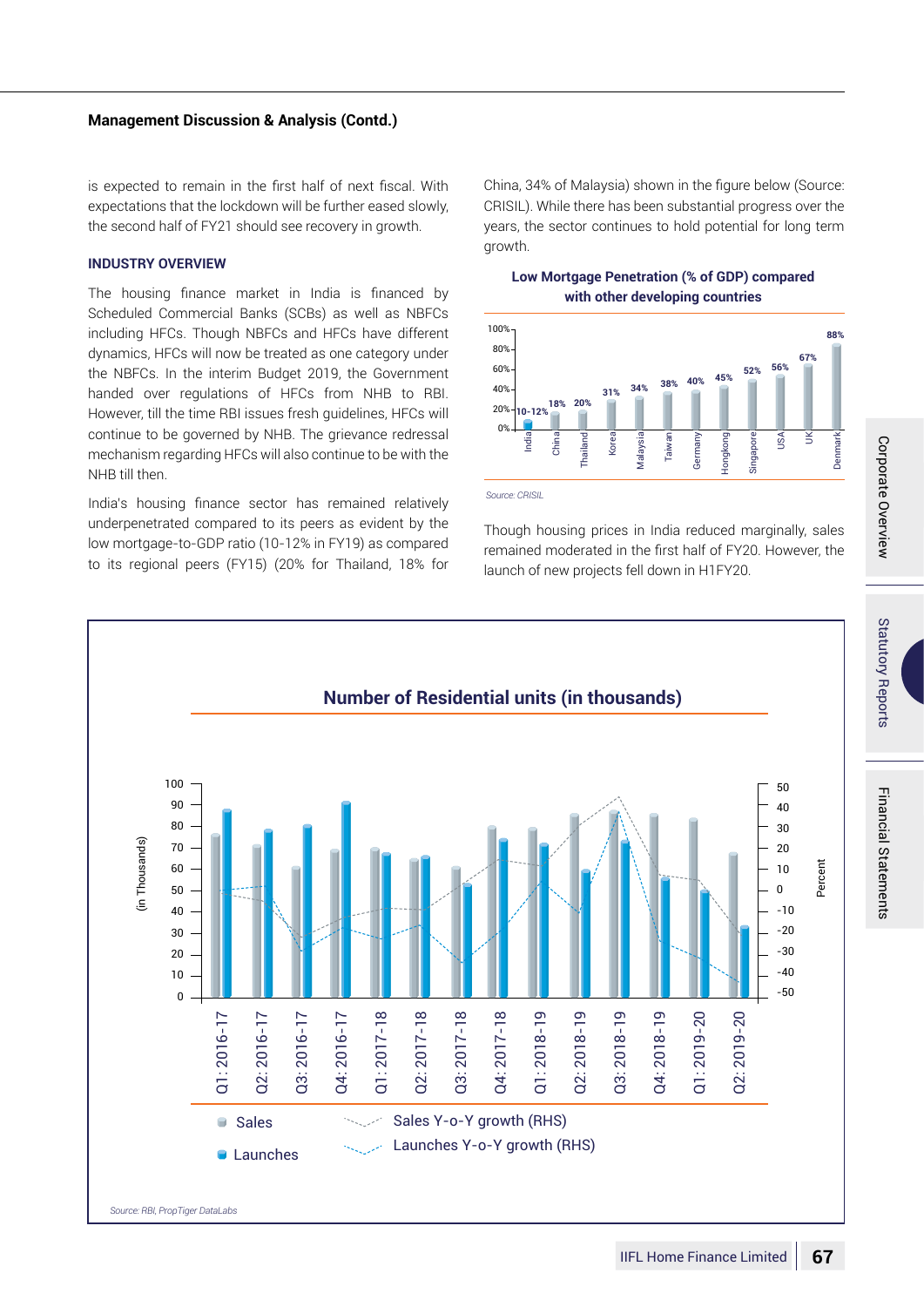# IIFL Home Finance Limited **67**

Corporate Overview

Corporate Overview

Statutory Reports

**Statutory Reports** 

Financial Statements

Financial Statements

# **Management Discussion & Analysis (Contd.)**

is expected to remain in the first half of next fiscal. With expectations that the lockdown will be further eased slowly, the second half of FY21 should see recovery in growth.

# **INDUSTRY OVERVIEW**

The housing finance market in India is financed by Scheduled Commercial Banks (SCBs) as well as NBFCs including HFCs. Though NBFCs and HFCs have different dynamics, HFCs will now be treated as one category under the NBFCs. In the interim Budget 2019, the Government handed over regulations of HFCs from NHB to RBI. However, till the time RBI issues fresh guidelines, HFCs will continue to be governed by NHB. The grievance redressal mechanism regarding HFCs will also continue to be with the NHB till then.

India's housing finance sector has remained relatively underpenetrated compared to its peers as evident by the low mortgage-to-GDP ratio (10-12% in FY19) as compared to its regional peers (FY15) (20% for Thailand, 18% for China, 34% of Malaysia) shown in the figure below (Source: CRISIL). While there has been substantial progress over the years, the sector continues to hold potential for long term growth.

# **Low Mortgage Penetration (% of GDP) compared with other developing countries**



*Source: CRISIL*

Though housing prices in India reduced marginally, sales remained moderated in the first half of FY20. However, the launch of new projects fell down in H1FY20.

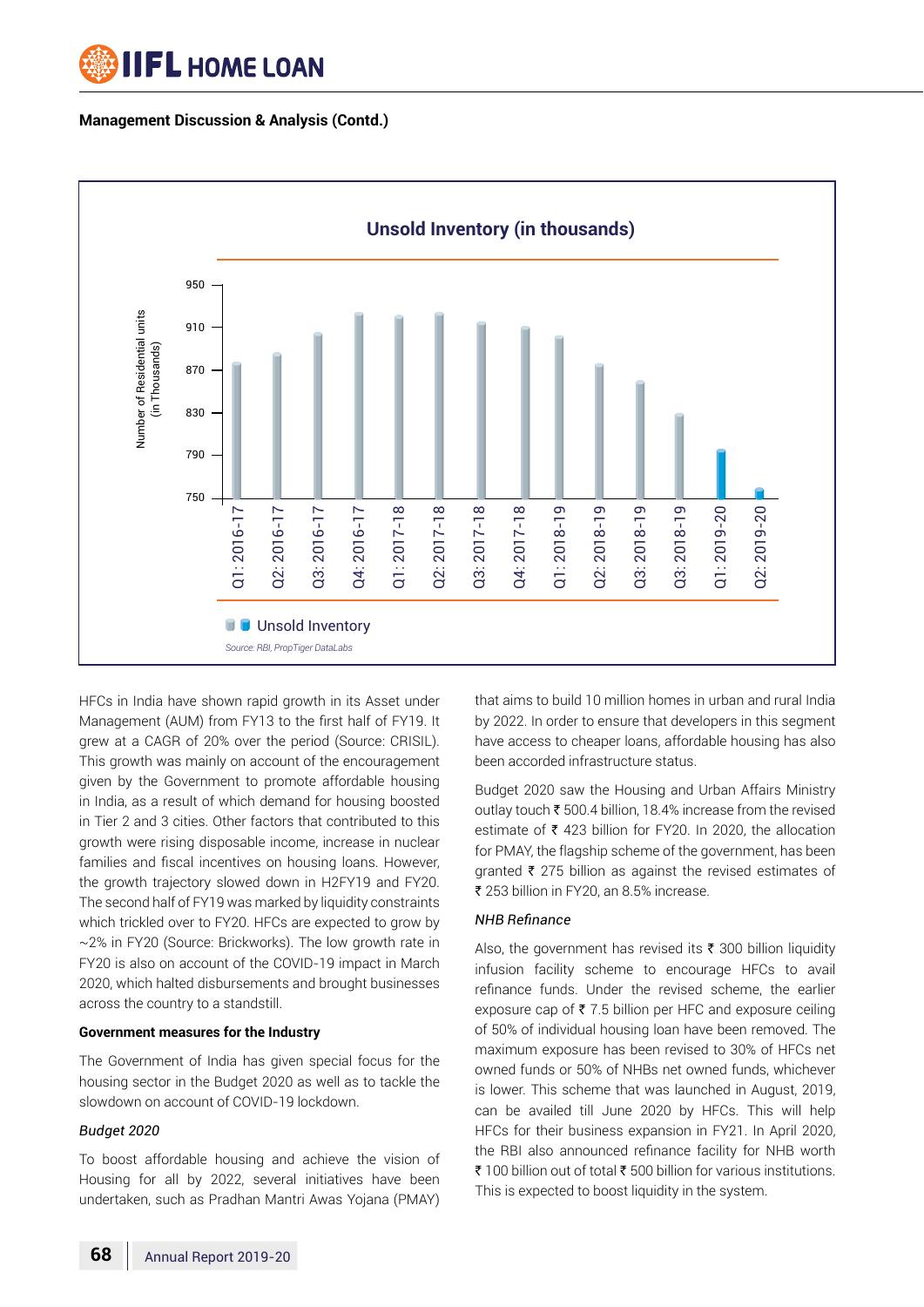



HFCs in India have shown rapid growth in its Asset under Management (AUM) from FY13 to the first half of FY19. It grew at a CAGR of 20% over the period (Source: CRISIL). This growth was mainly on account of the encouragement given by the Government to promote affordable housing in India, as a result of which demand for housing boosted in Tier 2 and 3 cities. Other factors that contributed to this growth were rising disposable income, increase in nuclear families and fiscal incentives on housing loans. However, the growth trajectory slowed down in H2FY19 and FY20. The second half of FY19 was marked by liquidity constraints which trickled over to FY20. HFCs are expected to grow by ~2% in FY20 (Source: Brickworks). The low growth rate in FY20 is also on account of the COVID-19 impact in March 2020, which halted disbursements and brought businesses across the country to a standstill.

#### **Government measures for the Industry**

The Government of India has given special focus for the housing sector in the Budget 2020 as well as to tackle the slowdown on account of COVID-19 lockdown.

# *Budget 2020*

To boost affordable housing and achieve the vision of Housing for all by 2022, several initiatives have been undertaken, such as Pradhan Mantri Awas Yojana (PMAY)

that aims to build 10 million homes in urban and rural India by 2022. In order to ensure that developers in this segment have access to cheaper loans, affordable housing has also been accorded infrastructure status.

Budget 2020 saw the Housing and Urban Affairs Ministry outlay touch  $\bar{\tau}$  500.4 billion, 18.4% increase from the revised estimate of  $\bar{\tau}$  423 billion for FY20. In 2020, the allocation for PMAY, the flagship scheme of the government, has been granted  $\bar{\tau}$  275 billion as against the revised estimates of ₹ 253 billion in FY20, an 8.5% increase.

# *NHB Refinance*

Also, the government has revised its  $\bar{\tau}$  300 billion liquidity infusion facility scheme to encourage HFCs to avail refinance funds. Under the revised scheme, the earlier exposure cap of  $\bar{\tau}$  7.5 billion per HFC and exposure ceiling of 50% of individual housing loan have been removed. The maximum exposure has been revised to 30% of HFCs net owned funds or 50% of NHBs net owned funds, whichever is lower. This scheme that was launched in August, 2019, can be availed till June 2020 by HFCs. This will help HFCs for their business expansion in FY21. In April 2020, the RBI also announced refinance facility for NHB worth ₹ 100 billion out of total ₹ 500 billion for various institutions. This is expected to boost liquidity in the system.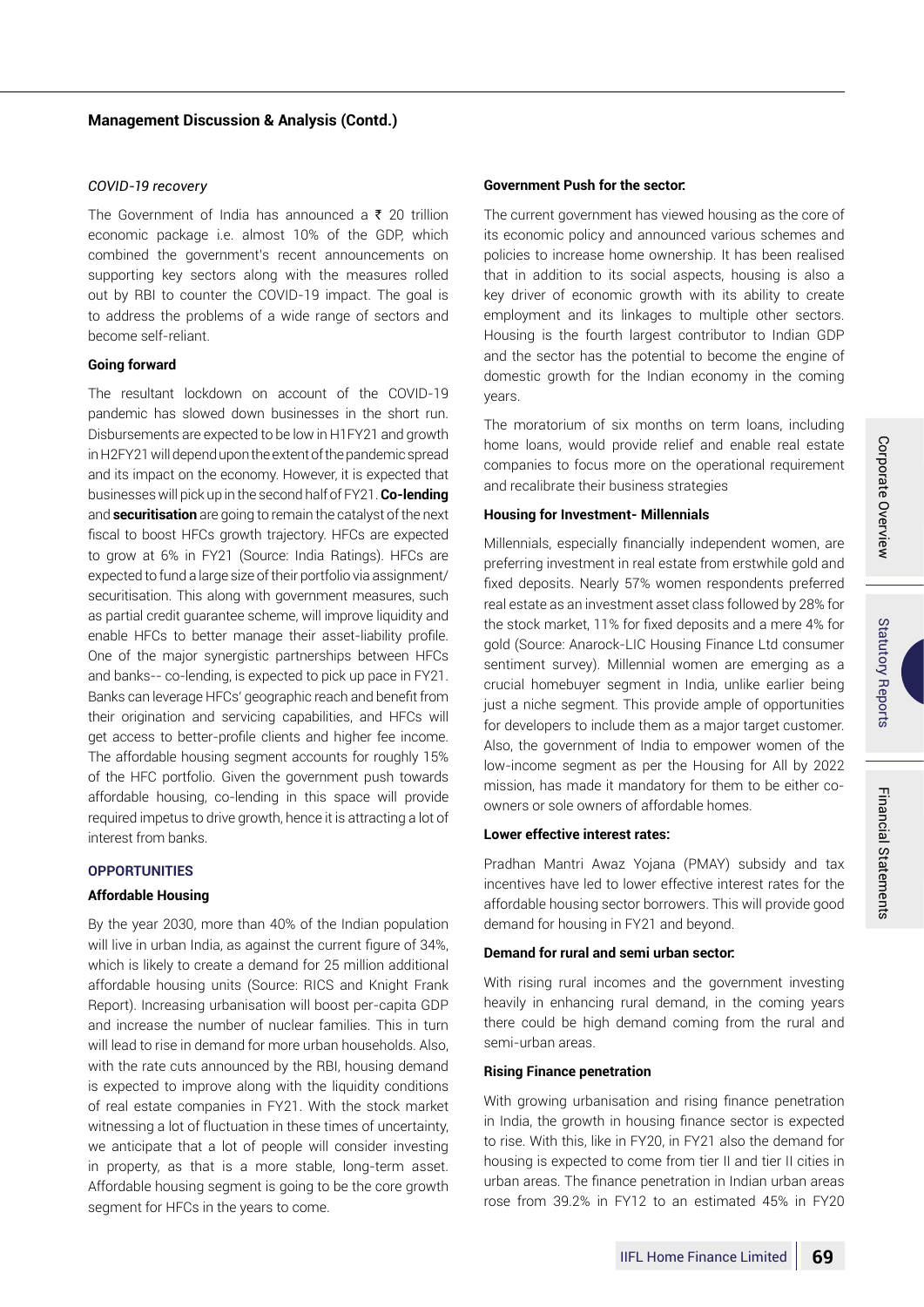#### *COVID-19 recovery*

The Government of India has announced a  $\bar{\tau}$  20 trillion economic package i.e. almost 10% of the GDP, which combined the government's recent announcements on supporting key sectors along with the measures rolled out by RBI to counter the COVID-19 impact. The goal is to address the problems of a wide range of sectors and become self-reliant.

#### **Going forward**

The resultant lockdown on account of the COVID-19 pandemic has slowed down businesses in the short run. Disbursements are expected to be low in H1FY21 and growth in H2FY21 will depend upon the extent of the pandemic spread and its impact on the economy. However, it is expected that businesses will pick up in the second half of FY21. **Co-lending** and **securitisation** are going to remain the catalyst of the next fiscal to boost HFCs growth trajectory. HFCs are expected to grow at 6% in FY21 (Source: India Ratings). HFCs are expected to fund a large size of their portfolio via assignment/ securitisation. This along with government measures, such as partial credit guarantee scheme, will improve liquidity and enable HFCs to better manage their asset-liability profile. One of the major synergistic partnerships between HFCs and banks-- co-lending, is expected to pick up pace in FY21. Banks can leverage HFCs' geographic reach and benefit from their origination and servicing capabilities, and HFCs will get access to better-profile clients and higher fee income. The affordable housing segment accounts for roughly 15% of the HFC portfolio. Given the government push towards affordable housing, co-lending in this space will provide required impetus to drive growth, hence it is attracting a lot of interest from banks.

#### **Opportunities**

# **Affordable Housing**

By the year 2030, more than 40% of the Indian population will live in urban India, as against the current figure of 34%, which is likely to create a demand for 25 million additional affordable housing units (Source: RICS and Knight Frank Report). Increasing urbanisation will boost per-capita GDP and increase the number of nuclear families. This in turn will lead to rise in demand for more urban households. Also, with the rate cuts announced by the RBI, housing demand is expected to improve along with the liquidity conditions of real estate companies in FY21. With the stock market witnessing a lot of fluctuation in these times of uncertainty, we anticipate that a lot of people will consider investing in property, as that is a more stable, long-term asset. Affordable housing segment is going to be the core growth segment for HFCs in the years to come.

#### **Government Push for the sector:**

The current government has viewed housing as the core of its economic policy and announced various schemes and policies to increase home ownership. It has been realised that in addition to its social aspects, housing is also a key driver of economic growth with its ability to create employment and its linkages to multiple other sectors. Housing is the fourth largest contributor to Indian GDP and the sector has the potential to become the engine of domestic growth for the Indian economy in the coming years.

The moratorium of six months on term loans, including home loans, would provide relief and enable real estate companies to focus more on the operational requirement and recalibrate their business strategies

#### **Housing for Investment- Millennials**

Millennials, especially financially independent women, are preferring investment in real estate from erstwhile gold and fixed deposits. Nearly 57% women respondents preferred real estate as an investment asset class followed by 28% for the stock market, 11% for fixed deposits and a mere 4% for gold (Source: Anarock-LIC Housing Finance Ltd consumer sentiment survey). Millennial women are emerging as a crucial homebuyer segment in India, unlike earlier being just a niche segment. This provide ample of opportunities for developers to include them as a major target customer. Also, the government of India to empower women of the low-income segment as per the Housing for All by 2022 mission, has made it mandatory for them to be either coowners or sole owners of affordable homes.

# **Lower effective interest rates:**

Pradhan Mantri Awaz Yojana (PMAY) subsidy and tax incentives have led to lower effective interest rates for the affordable housing sector borrowers. This will provide good demand for housing in FY21 and beyond.

# **Demand for rural and semi urban sector:**

With rising rural incomes and the government investing heavily in enhancing rural demand, in the coming years there could be high demand coming from the rural and semi-urban areas.

#### **Rising Finance penetration**

With growing urbanisation and rising finance penetration in India, the growth in housing finance sector is expected to rise. With this, like in FY20, in FY21 also the demand for housing is expected to come from tier II and tier II cities in urban areas. The finance penetration in Indian urban areas rose from 39.2% in FY12 to an estimated 45% in FY20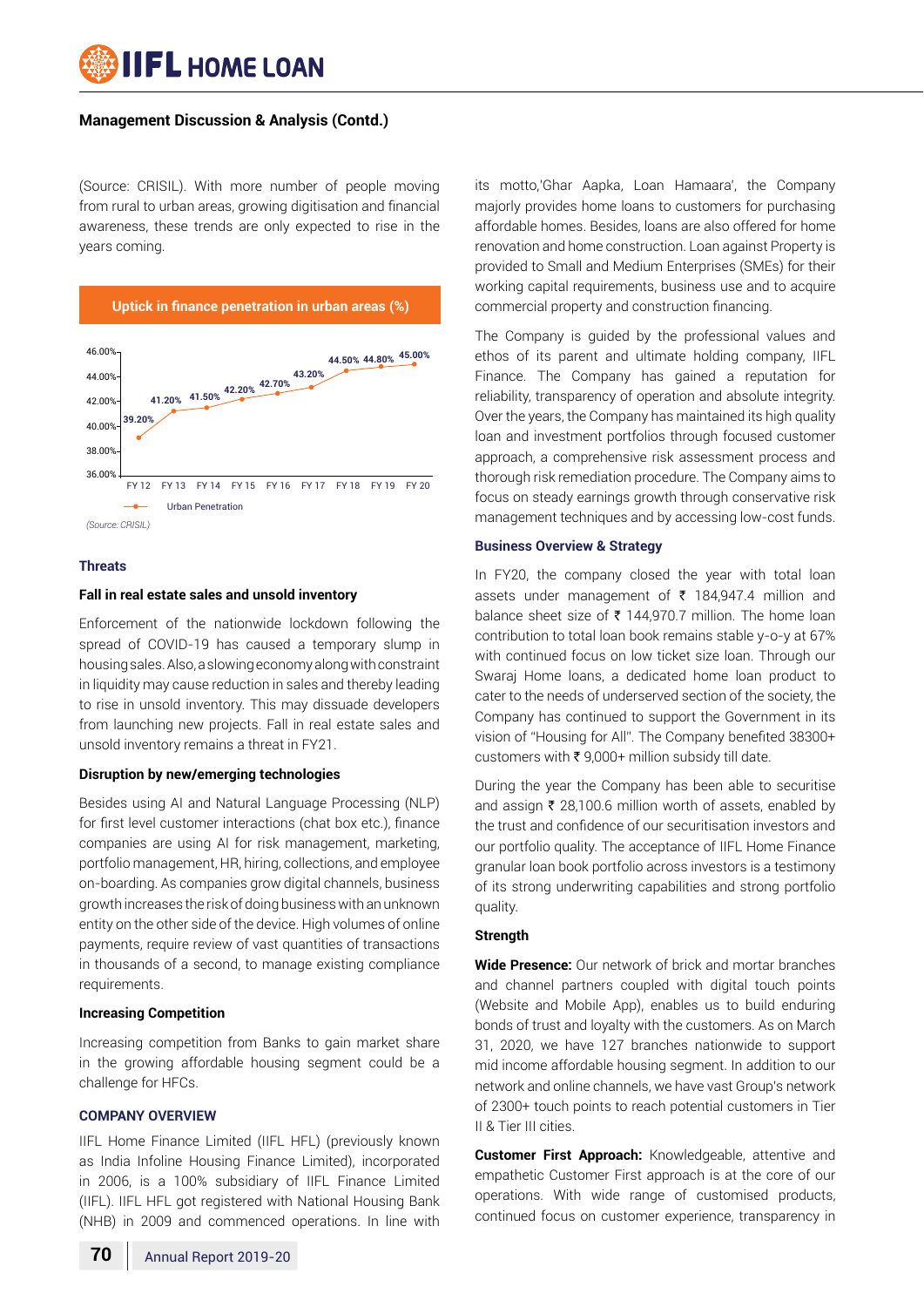**IIFL HOME LOAN** 

(Source: CRISIL). With more number of people moving from rural to urban areas, growing digitisation and financial awareness, these trends are only expected to rise in the years coming.



#### **Threats**

#### **Fall in real estate sales and unsold inventory**

Enforcement of the nationwide lockdown following the spread of COVID-19 has caused a temporary slump in housing sales. Also, a slowing economy along with constraint in liquidity may cause reduction in sales and thereby leading to rise in unsold inventory. This may dissuade developers from launching new projects. Fall in real estate sales and unsold inventory remains a threat in FY21.

#### **Disruption by new/emerging technologies**

Besides using AI and Natural Language Processing (NLP) for first level customer interactions (chat box etc.), finance companies are using AI for risk management, marketing, portfolio management, HR, hiring, collections, and employee on-boarding. As companies grow digital channels, business growth increases the risk of doing business with an unknown entity on the other side of the device. High volumes of online payments, require review of vast quantities of transactions in thousands of a second, to manage existing compliance requirements.

#### **Increasing Competition**

Increasing competition from Banks to gain market share in the growing affordable housing segment could be a challenge for HFCs.

#### **Company Overview**

IIFL Home Finance Limited (IIFL HFL) (previously known as India Infoline Housing Finance Limited), incorporated in 2006, is a 100% subsidiary of IIFL Finance Limited (IIFL). IIFL HFL got registered with National Housing Bank (NHB) in 2009 and commenced operations. In line with

its motto,'Ghar Aapka, Loan Hamaara', the Company majorly provides home loans to customers for purchasing affordable homes. Besides, loans are also offered for home renovation and home construction. Loan against Property is provided to Small and Medium Enterprises (SMEs) for their working capital requirements, business use and to acquire commercial property and construction financing.

The Company is guided by the professional values and ethos of its parent and ultimate holding company, IIFL Finance. The Company has gained a reputation for reliability, transparency of operation and absolute integrity. Over the years, the Company has maintained its high quality loan and investment portfolios through focused customer approach, a comprehensive risk assessment process and thorough risk remediation procedure. The Company aims to focus on steady earnings growth through conservative risk management techniques and by accessing low-cost funds.

#### **Business Overview & Strategy**

In FY20, the company closed the year with total loan assets under management of ₹ 184,947.4 million and balance sheet size of  $\bar{\tau}$  144,970.7 million. The home loan contribution to total loan book remains stable y-o-y at 67% with continued focus on low ticket size loan. Through our Swaraj Home loans, a dedicated home loan product to cater to the needs of underserved section of the society, the Company has continued to support the Government in its vision of "Housing for All". The Company benefited 38300+ customers with  $\bar{\tau}$  9,000+ million subsidy till date.

During the year the Company has been able to securitise and assign  $\bar{\tau}$  28,100.6 million worth of assets, enabled by the trust and confidence of our securitisation investors and our portfolio quality. The acceptance of IIFL Home Finance granular loan book portfolio across investors is a testimony of its strong underwriting capabilities and strong portfolio quality.

#### **Strength**

**Wide Presence:** Our network of brick and mortar branches and channel partners coupled with digital touch points (Website and Mobile App), enables us to build enduring bonds of trust and loyalty with the customers. As on March 31, 2020, we have 127 branches nationwide to support mid income affordable housing segment. In addition to our network and online channels, we have vast Group's network of 2300+ touch points to reach potential customers in Tier II & Tier III cities.

**Customer First Approach:** Knowledgeable, attentive and empathetic Customer First approach is at the core of our operations. With wide range of customised products, continued focus on customer experience, transparency in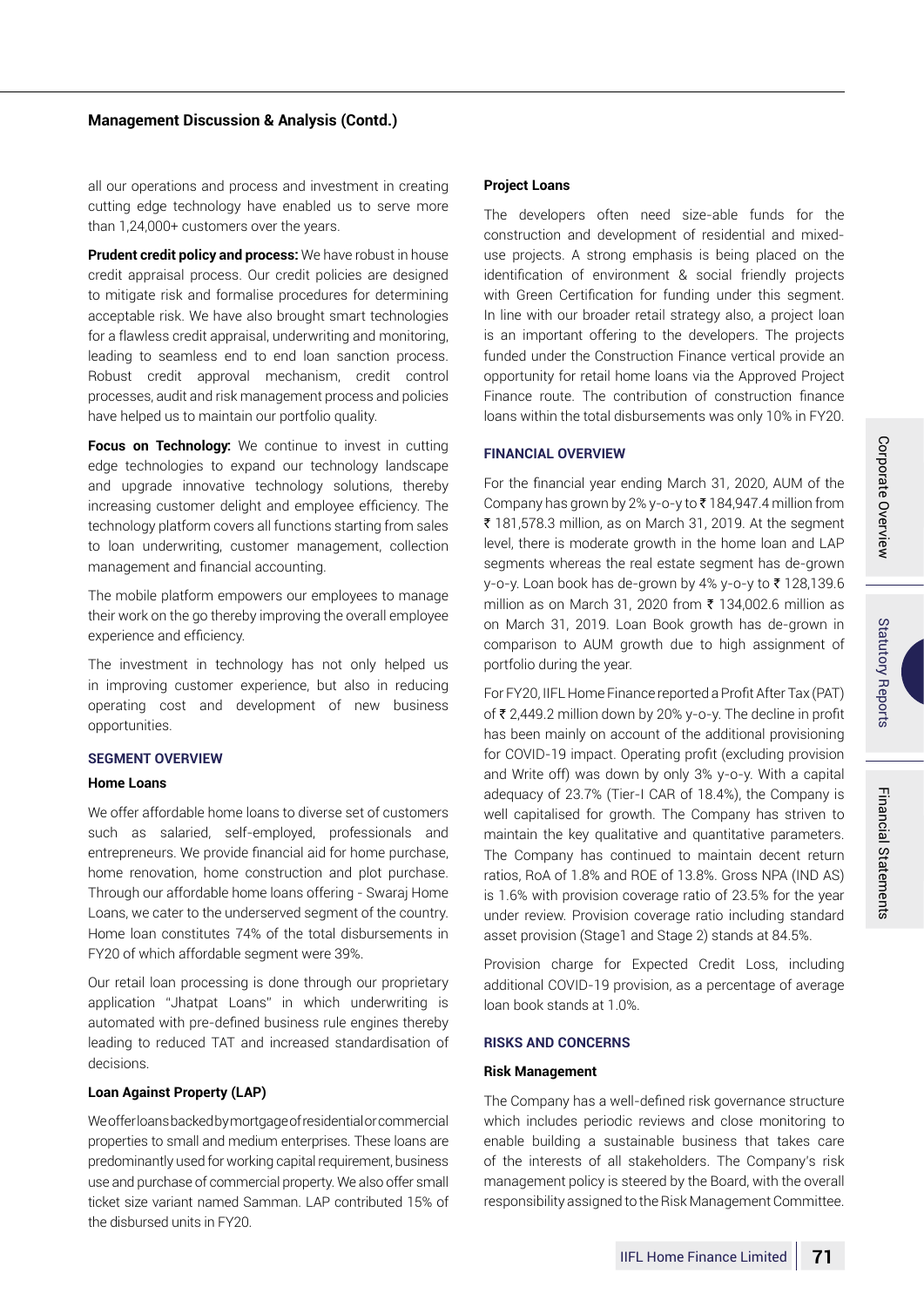all our operations and process and investment in creating cutting edge technology have enabled us to serve more than 1,24,000+ customers over the years.

**Prudent credit policy and process:** We have robust in house credit appraisal process. Our credit policies are designed to mitigate risk and formalise procedures for determining acceptable risk. We have also brought smart technologies for a flawless credit appraisal, underwriting and monitoring, leading to seamless end to end loan sanction process. Robust credit approval mechanism, credit control processes, audit and risk management process and policies have helped us to maintain our portfolio quality.

**Focus on Technology:** We continue to invest in cutting edge technologies to expand our technology landscape and upgrade innovative technology solutions, thereby increasing customer delight and employee efficiency. The technology platform covers all functions starting from sales to loan underwriting, customer management, collection management and financial accounting.

The mobile platform empowers our employees to manage their work on the go thereby improving the overall employee experience and efficiency.

The investment in technology has not only helped us in improving customer experience, but also in reducing operating cost and development of new business opportunities.

# **Segment Overview**

# **Home Loans**

We offer affordable home loans to diverse set of customers such as salaried, self-employed, professionals and entrepreneurs. We provide financial aid for home purchase, home renovation, home construction and plot purchase. Through our affordable home loans offering - Swaraj Home Loans, we cater to the underserved segment of the country. Home loan constitutes 74% of the total disbursements in FY20 of which affordable segment were 39%.

Our retail loan processing is done through our proprietary application "Jhatpat Loans" in which underwriting is automated with pre-defined business rule engines thereby leading to reduced TAT and increased standardisation of decisions.

# **Loan Against Property (LAP)**

We offer loans backed by mortgage of residential or commercial properties to small and medium enterprises. These loans are predominantly used for working capital requirement, business use and purchase of commercial property. We also offer small ticket size variant named Samman. LAP contributed 15% of the disbursed units in FY20.

#### **Project Loans**

The developers often need size-able funds for the construction and development of residential and mixeduse projects. A strong emphasis is being placed on the identification of environment & social friendly projects with Green Certification for funding under this segment. In line with our broader retail strategy also, a project loan is an important offering to the developers. The projects funded under the Construction Finance vertical provide an opportunity for retail home loans via the Approved Project Finance route. The contribution of construction finance loans within the total disbursements was only 10% in FY20.

#### **Financial Overview**

For the financial year ending March 31, 2020, AUM of the Company has grown by 2% y-o-y to  $\bar{\tau}$  184,947.4 million from ₹ 181,578.3 million, as on March 31, 2019. At the segment level, there is moderate growth in the home loan and LAP segments whereas the real estate segment has de-grown y-o-y. Loan book has de-grown by 4% y-o-y to  $\bar{\tau}$  128,139.6 million as on March 31, 2020 from  $\bar{\tau}$  134,002.6 million as on March 31, 2019. Loan Book growth has de-grown in comparison to AUM growth due to high assignment of portfolio during the year.

For FY20, IIFL Home Finance reported a Profit After Tax (PAT) of  $\bar{\tau}$  2,449.2 million down by 20% y-o-y. The decline in profit has been mainly on account of the additional provisioning for COVID-19 impact. Operating profit (excluding provision and Write off) was down by only 3% y-o-y. With a capital adequacy of 23.7% (Tier-I CAR of 18.4%), the Company is well capitalised for growth. The Company has striven to maintain the key qualitative and quantitative parameters. The Company has continued to maintain decent return ratios, RoA of 1.8% and ROE of 13.8%. Gross NPA (IND AS) is 1.6% with provision coverage ratio of 23.5% for the year under review. Provision coverage ratio including standard asset provision (Stage1 and Stage 2) stands at 84.5%.

Provision charge for Expected Credit Loss, including additional COVID-19 provision, as a percentage of average loan book stands at 1.0%.

#### **Risks and Concerns**

#### **Risk Management**

The Company has a well-defined risk governance structure which includes periodic reviews and close monitoring to enable building a sustainable business that takes care of the interests of all stakeholders. The Company's risk management policy is steered by the Board, with the overall responsibility assigned to the Risk Management Committee.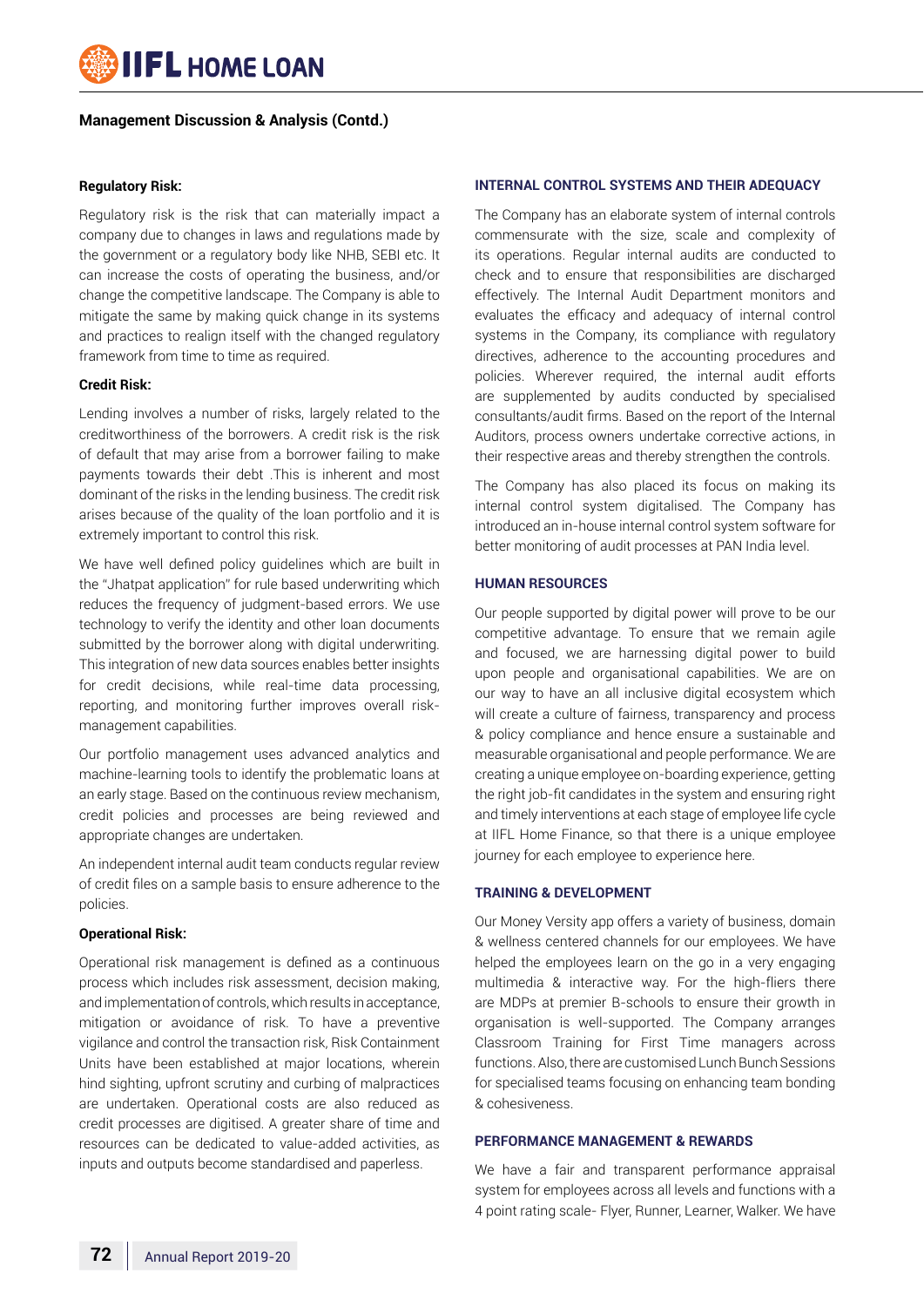

#### **Regulatory Risk:**

Regulatory risk is the risk that can materially impact a company due to changes in laws and regulations made by the government or a regulatory body like NHB, SEBI etc. It can increase the costs of operating the business, and/or change the competitive landscape. The Company is able to mitigate the same by making quick change in its systems and practices to realign itself with the changed regulatory framework from time to time as required.

#### **Credit Risk:**

Lending involves a number of risks, largely related to the creditworthiness of the borrowers. A credit risk is the risk of default that may arise from a borrower failing to make payments towards their debt .This is inherent and most dominant of the risks in the lending business. The credit risk arises because of the quality of the loan portfolio and it is extremely important to control this risk.

We have well defined policy guidelines which are built in the "Jhatpat application" for rule based underwriting which reduces the frequency of judgment-based errors. We use technology to verify the identity and other loan documents submitted by the borrower along with digital underwriting. This integration of new data sources enables better insights for credit decisions, while real-time data processing, reporting, and monitoring further improves overall riskmanagement capabilities.

Our portfolio management uses advanced analytics and machine-learning tools to identify the problematic loans at an early stage. Based on the continuous review mechanism, credit policies and processes are being reviewed and appropriate changes are undertaken.

An independent internal audit team conducts regular review of credit files on a sample basis to ensure adherence to the policies.

#### **Operational Risk:**

Operational risk management is defined as a continuous process which includes risk assessment, decision making, and implementation of controls, which results in acceptance, mitigation or avoidance of risk. To have a preventive vigilance and control the transaction risk, Risk Containment Units have been established at major locations, wherein hind sighting, upfront scrutiny and curbing of malpractices are undertaken. Operational costs are also reduced as credit processes are digitised. A greater share of time and resources can be dedicated to value-added activities, as inputs and outputs become standardised and paperless.

#### **Internal control systems and their adequacy**

The Company has an elaborate system of internal controls commensurate with the size, scale and complexity of its operations. Regular internal audits are conducted to check and to ensure that responsibilities are discharged effectively. The Internal Audit Department monitors and evaluates the efficacy and adequacy of internal control systems in the Company, its compliance with regulatory directives, adherence to the accounting procedures and policies. Wherever required, the internal audit efforts are supplemented by audits conducted by specialised consultants/audit firms. Based on the report of the Internal Auditors, process owners undertake corrective actions, in their respective areas and thereby strengthen the controls.

The Company has also placed its focus on making its internal control system digitalised. The Company has introduced an in-house internal control system software for better monitoring of audit processes at PAN India level.

#### **Human Resources**

Our people supported by digital power will prove to be our competitive advantage. To ensure that we remain agile and focused, we are harnessing digital power to build upon people and organisational capabilities. We are on our way to have an all inclusive digital ecosystem which will create a culture of fairness, transparency and process & policy compliance and hence ensure a sustainable and measurable organisational and people performance. We are creating a unique employee on-boarding experience, getting the right job-fit candidates in the system and ensuring right and timely interventions at each stage of employee life cycle at IIFL Home Finance, so that there is a unique employee journey for each employee to experience here.

#### **Training & Development**

Our Money Versity app offers a variety of business, domain & wellness centered channels for our employees. We have helped the employees learn on the go in a very engaging multimedia & interactive way. For the high-fliers there are MDPs at premier B-schools to ensure their growth in organisation is well-supported. The Company arranges Classroom Training for First Time managers across functions. Also, there are customised Lunch Bunch Sessions for specialised teams focusing on enhancing team bonding & cohesiveness.

#### **Performance Management & Rewards**

We have a fair and transparent performance appraisal system for employees across all levels and functions with a 4 point rating scale- Flyer, Runner, Learner, Walker. We have